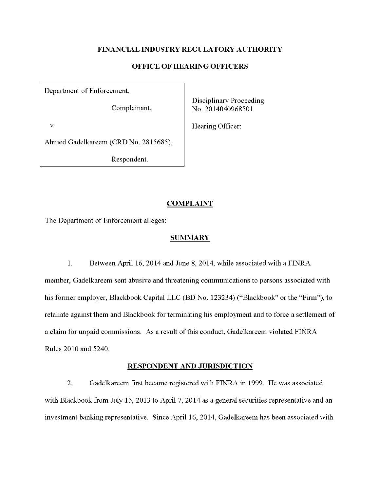# FINANCIAL INDUSTRY REGULATORY AUTHORITY

## OFFICE OF HEARING OFFICERS

Department of Enforcement,

Disciplinary Proceeding Complainant,  $\vert$  No. 2014040968501

v. Bearing Officer:

Ahmed Gadelkareem (CRD No. 2815685),

Respondent.

# **COMPLAINT**

The Department of Enforcement alleges:

### **SUMMARY**

1. Between April 16,2014 and June 8, 2014, while associated with a FINRA member, Gadelkareem sent abusive and threatening communications to persons associated with his former employer, Blackbook Capital LLC (BD No. 123234) ("Blackbook" or the "Firm"), to retaliate against them and Blackbook for terminating his employment and to force a settlement of a claim for unpaid commissions. As a result of this conduct, Gadelkareem violated FINRA Rules 2010 and 5240.

# RESPONDENT AND JURISDICTION

2. Gadelkareem first became registered with FINRA in 1999. He was associated with Blackbook from July 15, 2013 to April 7, 2014 as a general securities representative and an investment banking representative. Since April 16,2014, Gadelkareem has been associated with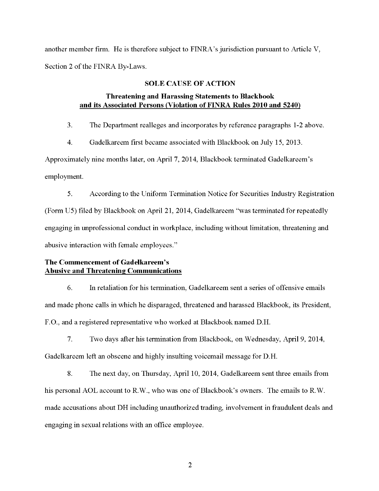another member firm. He is therefore subject to FINRA's jurisdiction pursuant to Article V, Section 2 of the FINRA By-Laws.

#### SOLE CAUSE OF ACTION

# Threatening and Harassing Statements to Blackbook and its Associated Persons (Violation of FINRA Rules 2010 and 5240)

3. The Department realleges and incorporates by reference paragraphs 1-2 above.

4. Gadelkareem first became associated with Blackbook on July 15, 2013.

Approximately nine months later, on April 7, 2014, Blackbook terminated Gadelkareem's employment.

5. According to the Uniform Termination Notice for Securities Industry Registration (Form U5) filed by Blackbook on April 21, 2014, Gadelkareem "was terminated for repeatedly engaging in unprofessional conduct in workplace, including without limitation, threatening and abusive interaction with female employees."

# The Commencement of Gadelkareem's **Abusive and Threatening Communications**

6. In retaliation for his termination, Gadelkareem sent a series of offensive emails and made phone calls in which he disparaged, threatened and harassed Blackbook, its President, F.0., and a registered representative who worked at Blackbook named D.H.

7. Two days after his termination from Blackbook, on Wednesday, April 9, 2014, Gadelkareem left an obscene and highly insulting voicemail message for D.H.

8. The next day, on Thursday, April 10,2014, Gadelkareem sent three emails from his personal AOL account to R.W., who was one of Blackbook's owners. The emails to R.W. made accusations about DH including unauthorized trading, involvement in fraudulent deals and engaging in sexual relations with an office employee.

2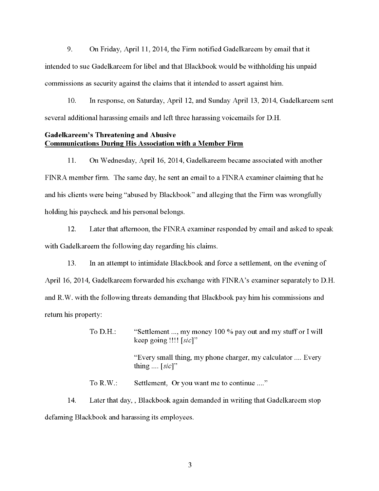9. On Friday, April 11, 2014, the Firm notified Gadelkareem by email that it intended to sue Gadelkareem for libel and that Blackbook would be withholding his unpaid commissions as security against the claims that it intended to assert against him.

10. In response, on Saturday, April 12, and Sunday April 13, 2014, Gadelkareem sent several additional harassing emails and left three harassing voicemails for D.H.

# Gadelkareem's Threatening and Abusive Communications Durine His Association with a Member Firm

11. On Wednesday, April 16, 2014, Gadelkareem became associated with another FINRA member firm. The same day, he sent an email to a FINRA examiner claiming that he and his clients were being "abused by Blackbook" and alleging that the Firm was wrongfully holding his paycheck and his personal belongs.

12. Later that afternoon, the FINRA examiner responded by email and asked to speak with Gadelkareem the following day regarding his claims.

13. In an attempt to intimidate Blackbook and force a settlement, on the evening of April 16, 2014, Gadelkareem forwarded his exchange with FINRA's examiner separatelyto D.H. and R.W. with the following threats demanding that Blackbook pay him his commissions and return his property:

> To D.H.: "Settlement ...,my money <sup>100</sup> % pay out and my stuff or I will keep going !!!!  $[sic]$ " "Every small thing, my phone charger, my calculator .... Every thing  $\ldots$  [sic]" To R.W.: Settlement, Or you want me to continue ...."

14. Later that day,, Blackbook again demanded in writing that Gadelkareem stop defaming Blackbook and harassing its employees.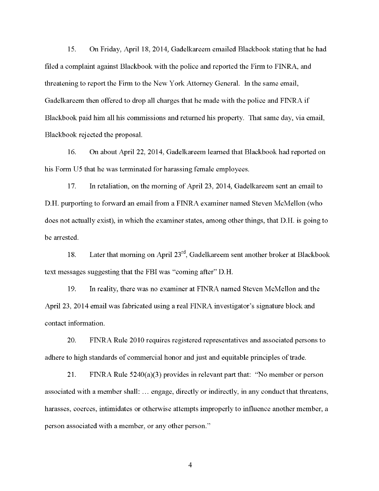15. On Friday, April 18,2014, Gadelkareem emailed Blackbook stating that he had filed a complaint against Blackbook with the police and reported the Firni to FINRA, and threatening to report the Firm to the New York Attorney General. In the same email, Gadelkareem then offered to drop all charges that he made with the police and FINRA if Blackbook paid him all his commissions and returned his property. That same day, via email, Blackbook rejected the proposal.

16. On about April 22, 2014, Gadelkareem learned that Blackbook had reported on his Form U5 that he was terminated for harassing female employees.

17. In retaliation, on the morning of April 23, 2014, Gadelkareem sent an email to D.H. purporting to forward an email from a FINRA examiner named Steven McMellon (who does not actually exist), in which the examiner states, among other things, that D.H. is going to be arrested.

18. Later that morning on April  $23^{rd}$ , Gadelkareem sent another broker at Blackbook text messages suggesting that the FBI was "coming after" D.H.

19. In reality, there was no examiner at FINRA named Steven McMellon and the April 23, 2014 email was fabricated using a real FINRA investigator's signature block and contact information.

20. FINRA Rule 2010 requires registered representatives and associated persons to adhere to high standards of commercial honor and just and equitable principles of trade.

21. FINRA Rule 5240(a)(3) provides in relevant part that: "No member or person associated with <sup>a</sup> member shall:... engage, directly or indirectly, in any conduct that threatens, harasses, coerces, intimidates or otherwise attempts improperly to influence another member, a person associated with <sup>a</sup> member, or any other person."

4